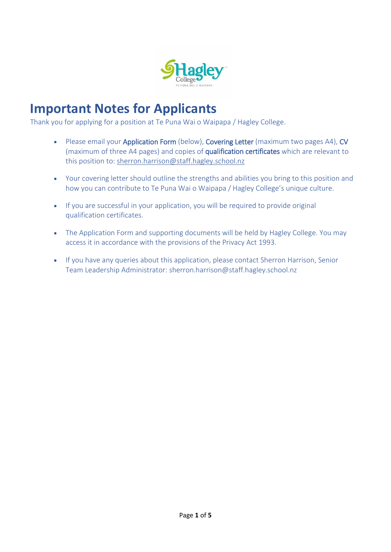

## **Important Notes for Applicants**

Thank you for applying for a position at Te Puna Wai o Waipapa / Hagley College.

- Please email your Application Form (below), Covering Letter (maximum two pages A4), CV (maximum of three A4 pages) and copies of qualification certificates which are relevant to this position to: sherron.harrison@staff.hagley.school.nz
- Your covering letter should outline the strengths and abilities you bring to this position and how you can contribute to Te Puna Wai o Waipapa / Hagley College's unique culture.
- If you are successful in your application, you will be required to provide original qualification certificates.
- The Application Form and supporting documents will be held by Hagley College. You may access it in accordance with the provisions of the Privacy Act 1993.
- If you have any queries about this application, please contact Sherron Harrison, Senior Team Leadership Administrator: sherron.harrison@staff.hagley.school.nz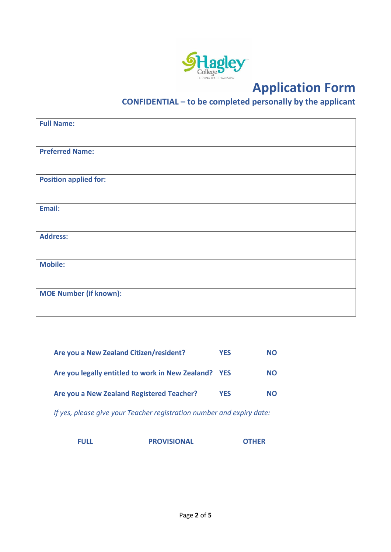

# **Application Form**

## **CONFIDENTIAL – to be completed personally by the applicant**

| <b>Full Name:</b>             |
|-------------------------------|
|                               |
| <b>Preferred Name:</b>        |
|                               |
| <b>Position applied for:</b>  |
|                               |
| Email:                        |
|                               |
| <b>Address:</b>               |
|                               |
| <b>Mobile:</b>                |
|                               |
| <b>MOE Number (if known):</b> |
|                               |

| Are you a New Zealand Citizen/resident?              | <b>YES</b> | <b>NO</b> |
|------------------------------------------------------|------------|-----------|
| Are you legally entitled to work in New Zealand? YES |            | <b>NO</b> |
| Are you a New Zealand Registered Teacher?            | <b>YES</b> | <b>NO</b> |

*If yes, please give your Teacher registration number and expiry date:* 

**FULL PROVISIONAL OTHER**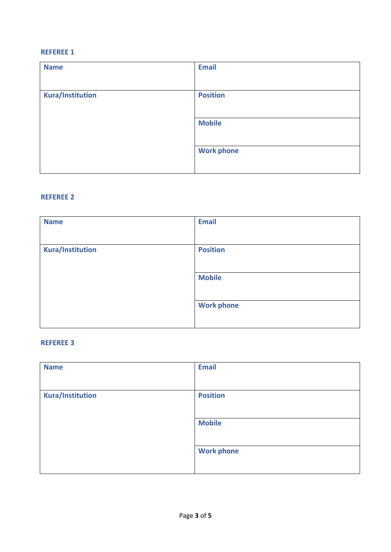### **REFEREE 1**

| <b>Name</b>             | <b>Email</b>      |
|-------------------------|-------------------|
|                         |                   |
| <b>Kura/Institution</b> | <b>Position</b>   |
|                         |                   |
|                         | <b>Mobile</b>     |
|                         |                   |
|                         | <b>Work phone</b> |
|                         |                   |

#### **REFEREE 2**

| <b>Name</b>             | <b>Email</b>      |
|-------------------------|-------------------|
| <b>Kura/Institution</b> | <b>Position</b>   |
|                         | <b>Mobile</b>     |
|                         | <b>Work phone</b> |

## **REFEREE 3**

| <b>Name</b>             | <b>Email</b>      |
|-------------------------|-------------------|
|                         |                   |
| <b>Kura/Institution</b> | <b>Position</b>   |
|                         |                   |
|                         | <b>Mobile</b>     |
|                         |                   |
|                         | <b>Work phone</b> |
|                         |                   |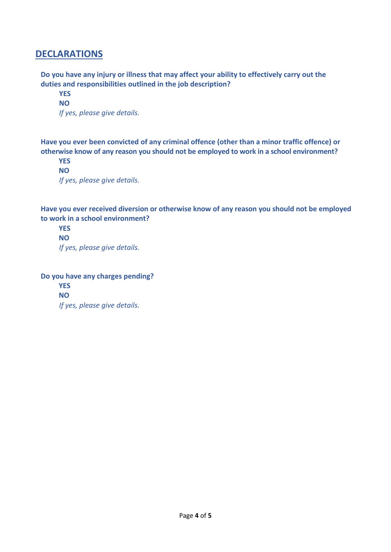## **DECLARATIONS**

**Do you have any injury or illness that may affect your ability to effectively carry out the duties and responsibilities outlined in the job description?** 

 **YES NO**  *If yes, please give details.* 

**Have you ever been convicted of any criminal offence (other than a minor traffic offence) or otherwise know of any reason you should not be employed to work in a school environment?** 

**YES NO**  *If yes, please give details.* 

**Have you ever received diversion or otherwise know of any reason you should not be employed to work in a school environment?** 

**YES NO**  *If yes, please give details.* 

**Do you have any charges pending?** 

**YES NO**  *If yes, please give details.*